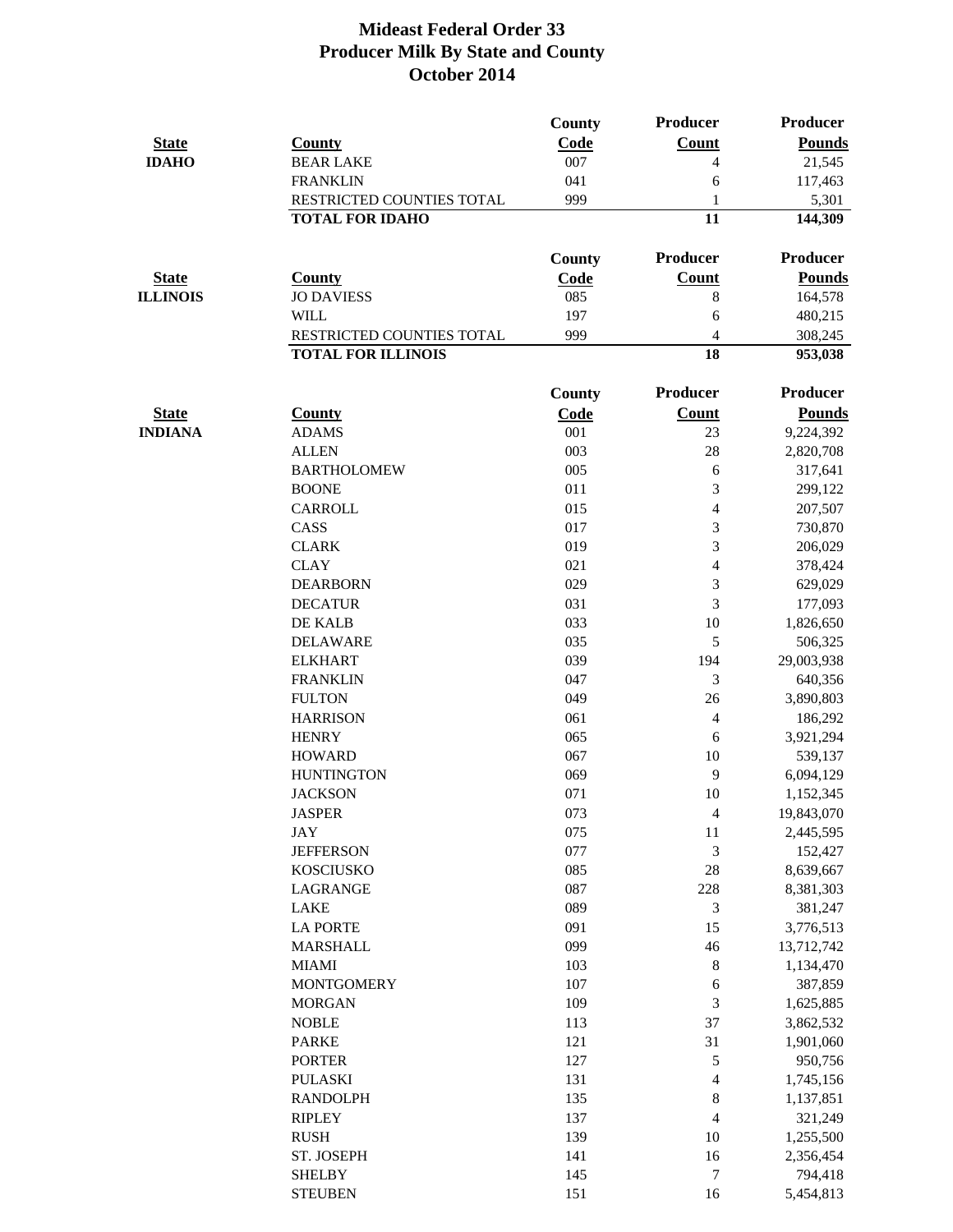| <b>State</b>    | <b>County</b>                | <b>County</b><br>Code | Producer<br>Count | <b>Producer</b><br><b>Pounds</b> |
|-----------------|------------------------------|-----------------------|-------------------|----------------------------------|
| <b>IDAHO</b>    | <b>BEAR LAKE</b>             | 007                   | $\overline{4}$    | 21,545                           |
|                 | <b>FRANKLIN</b>              | 041                   | 6                 | 117,463                          |
|                 | RESTRICTED COUNTIES TOTAL    | 999                   | 1                 | 5,301                            |
|                 | <b>TOTAL FOR IDAHO</b>       |                       | 11                | 144,309                          |
|                 |                              | <b>County</b>         | <b>Producer</b>   | <b>Producer</b>                  |
| <b>State</b>    | <b>County</b>                | Code                  | <b>Count</b>      | <b>Pounds</b>                    |
| <b>ILLINOIS</b> | <b>JO DAVIESS</b>            | 085                   | $8\,$             | 164,578                          |
|                 | <b>WILL</b>                  | 197                   | 6                 | 480,215                          |
|                 | RESTRICTED COUNTIES TOTAL    | 999                   | $\overline{4}$    | 308,245                          |
|                 | <b>TOTAL FOR ILLINOIS</b>    |                       | 18                | 953,038                          |
|                 |                              | <b>County</b>         | <b>Producer</b>   | Producer                         |
| <b>State</b>    | <b>County</b>                | Code                  | <b>Count</b>      | <b>Pounds</b>                    |
| <b>INDIANA</b>  | <b>ADAMS</b>                 | 001                   | 23                | 9,224,392                        |
|                 | <b>ALLEN</b>                 | 003                   | 28                | 2,820,708                        |
|                 | <b>BARTHOLOMEW</b>           | 005                   | 6                 | 317,641                          |
|                 | <b>BOONE</b>                 | 011                   | 3                 | 299,122                          |
|                 | <b>CARROLL</b>               | 015                   | 4                 | 207,507                          |
|                 | CASS                         | 017                   | 3                 | 730,870                          |
|                 | <b>CLARK</b>                 | 019                   | 3                 | 206,029                          |
|                 | <b>CLAY</b>                  | 021                   | 4                 | 378,424                          |
|                 | <b>DEARBORN</b>              | 029                   | 3                 | 629,029                          |
|                 | <b>DECATUR</b>               | 031                   | 3                 | 177,093                          |
|                 | DE KALB                      | 033                   | 10                | 1,826,650                        |
|                 | <b>DELAWARE</b>              | 035                   | 5                 | 506,325                          |
|                 | <b>ELKHART</b>               | 039                   | 194               | 29,003,938                       |
|                 | <b>FRANKLIN</b>              | 047                   | 3                 | 640,356                          |
|                 | <b>FULTON</b>                | 049                   | 26                | 3,890,803                        |
|                 | <b>HARRISON</b>              | 061                   | 4                 | 186,292                          |
|                 | <b>HENRY</b>                 | 065                   | 6                 | 3,921,294                        |
|                 | <b>HOWARD</b>                | 067                   | 10                | 539,137                          |
|                 | <b>HUNTINGTON</b>            | 069                   | 9                 | 6,094,129                        |
|                 | <b>JACKSON</b>               | 071                   | 10                | 1,152,345                        |
|                 | <b>JASPER</b>                | 073                   | $\overline{4}$    | 19,843,070                       |
|                 | <b>JAY</b>                   | 075                   | 11                | 2,445,595                        |
|                 | <b>JEFFERSON</b>             | 077                   | 3                 | 152,427                          |
|                 | <b>KOSCIUSKO</b>             | 085                   | 28                | 8,639,667                        |
|                 | <b>LAGRANGE</b>              | 087                   | 228               | 8,381,303                        |
|                 | <b>LAKE</b>                  | 089                   | 3                 | 381,247                          |
|                 | <b>LA PORTE</b>              | 091                   | 15                | 3,776,513                        |
|                 | <b>MARSHALL</b>              | 099                   | 46                | 13,712,742                       |
|                 | <b>MIAMI</b>                 | 103                   | 8                 | 1,134,470                        |
|                 | <b>MONTGOMERY</b>            | 107                   | 6                 | 387,859                          |
|                 | <b>MORGAN</b>                | 109                   | 3                 | 1,625,885                        |
|                 | <b>NOBLE</b>                 | 113                   | 37                | 3,862,532                        |
|                 | <b>PARKE</b>                 | 121                   | 31                | 1,901,060                        |
|                 | <b>PORTER</b>                | 127                   | $\mathfrak{S}$    | 950,756                          |
|                 | <b>PULASKI</b>               | 131                   | 4                 | 1,745,156                        |
|                 | <b>RANDOLPH</b>              | 135                   | 8                 | 1,137,851                        |
|                 | <b>RIPLEY</b><br><b>RUSH</b> | 137<br>139            | $\overline{4}$    | 321,249                          |
|                 | ST. JOSEPH                   | 141                   | 10                | 1,255,500                        |
|                 | <b>SHELBY</b>                | 145                   | 16<br>$\tau$      | 2,356,454<br>794,418             |
|                 | <b>STEUBEN</b>               | 151                   | 16                | 5,454,813                        |
|                 |                              |                       |                   |                                  |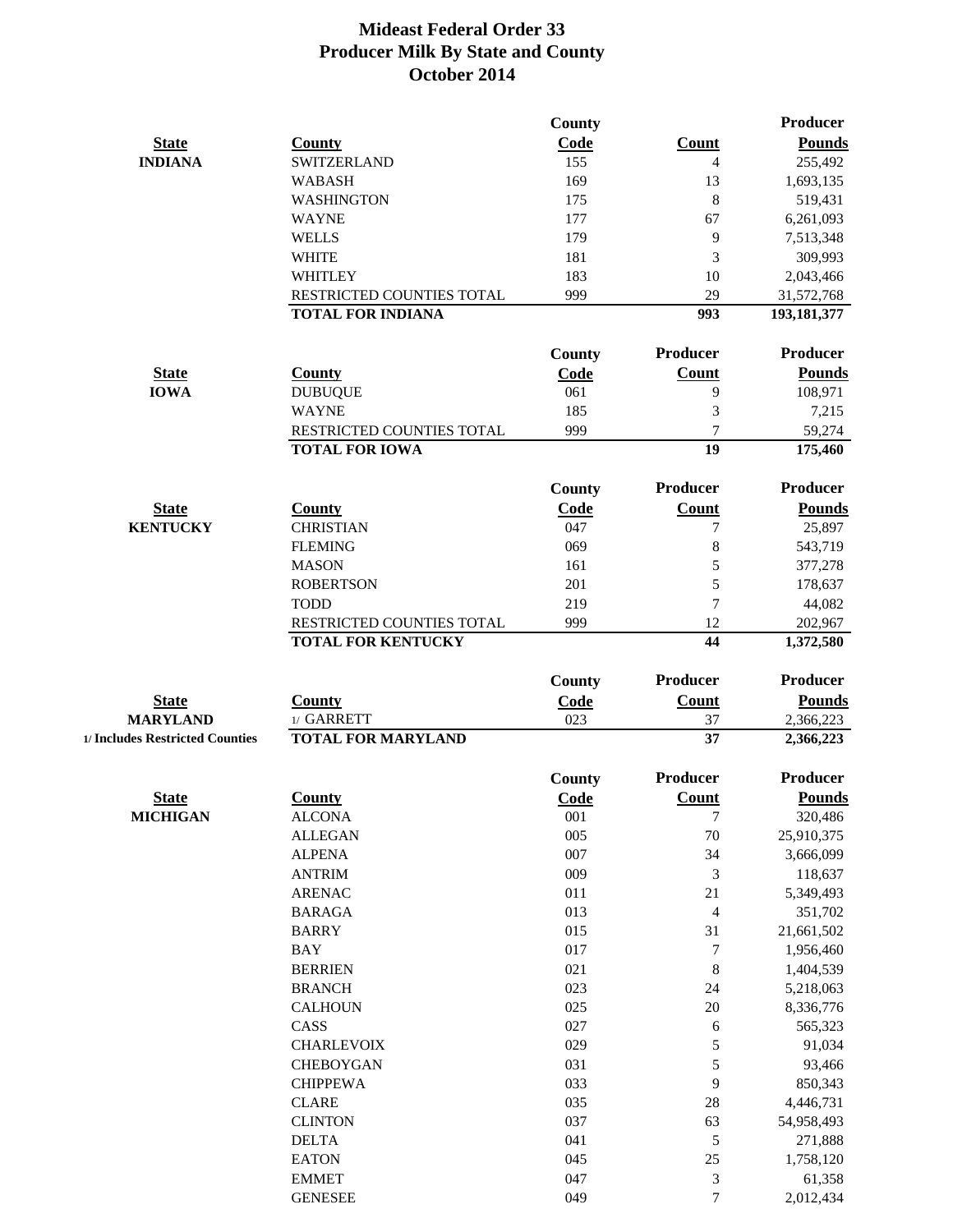|                                 |                           | <b>County</b> |                 | <b>Producer</b> |
|---------------------------------|---------------------------|---------------|-----------------|-----------------|
| <b>State</b>                    | <b>County</b>             | Code          | <b>Count</b>    | <b>Pounds</b>   |
| <b>INDIANA</b>                  | <b>SWITZERLAND</b>        | 155           | 4               | 255,492         |
|                                 | <b>WABASH</b>             | 169           | 13              | 1,693,135       |
|                                 | <b>WASHINGTON</b>         | 175           | 8               | 519,431         |
|                                 | <b>WAYNE</b>              | 177           | 67              | 6,261,093       |
|                                 | <b>WELLS</b>              | 179           | 9               | 7,513,348       |
|                                 | <b>WHITE</b>              | 181           | 3               | 309,993         |
|                                 | <b>WHITLEY</b>            | 183           | 10              | 2,043,466       |
|                                 | RESTRICTED COUNTIES TOTAL | 999           | 29              | 31,572,768      |
|                                 | <b>TOTAL FOR INDIANA</b>  |               | 993             | 193, 181, 377   |
|                                 |                           | County        | Producer        | <b>Producer</b> |
| <b>State</b>                    | <b>County</b>             | Code          | <b>Count</b>    | <b>Pounds</b>   |
| <b>IOWA</b>                     | <b>DUBUQUE</b>            | 061           | 9               | 108,971         |
|                                 | <b>WAYNE</b>              | 185           | 3               | 7,215           |
|                                 | RESTRICTED COUNTIES TOTAL | 999           | $\overline{7}$  | 59,274          |
|                                 | <b>TOTAL FOR IOWA</b>     |               | 19              | 175,460         |
|                                 |                           | County        | Producer        | <b>Producer</b> |
| <b>State</b>                    | <b>County</b>             |               | <b>Count</b>    | <b>Pounds</b>   |
| <b>KENTUCKY</b>                 | <b>CHRISTIAN</b>          | Code<br>047   | 7               | 25,897          |
|                                 | <b>FLEMING</b>            | 069           |                 |                 |
|                                 |                           |               | 8               | 543,719         |
|                                 | <b>MASON</b>              | 161           | 5               | 377,278         |
|                                 | <b>ROBERTSON</b>          | 201           | 5               | 178,637         |
|                                 | <b>TODD</b>               | 219           | $\overline{7}$  | 44,082          |
|                                 | RESTRICTED COUNTIES TOTAL | 999           | 12              | 202,967         |
|                                 | <b>TOTAL FOR KENTUCKY</b> |               | 44              | 1,372,580       |
|                                 |                           | <b>County</b> | Producer        | <b>Producer</b> |
| <b>State</b>                    | <b>County</b>             | <b>Code</b>   | Count           | <b>Pounds</b>   |
| <b>MARYLAND</b>                 | 1/ GARRETT                | 023           | 37              | 2,366,223       |
| 1/ Includes Restricted Counties | <b>TOTAL FOR MARYLAND</b> |               | 37              | 2,366,223       |
|                                 |                           | <b>County</b> | <b>Producer</b> | Producer        |
| <b>State</b>                    | <b>County</b>             | Code          | <b>Count</b>    | <b>Pounds</b>   |
| <b>MICHIGAN</b>                 | <b>ALCONA</b>             | 001           | $\tau$          | 320,486         |
|                                 | <b>ALLEGAN</b>            | 005           | 70              | 25,910,375      |
|                                 | <b>ALPENA</b>             | 007           | 34              | 3,666,099       |
|                                 | <b>ANTRIM</b>             | 009           | $\mathfrak{Z}$  | 118,637         |
|                                 | <b>ARENAC</b>             | 011           | 21              | 5,349,493       |
|                                 | <b>BARAGA</b>             | 013           | $\overline{4}$  | 351,702         |
|                                 | <b>BARRY</b>              | 015           | 31              | 21,661,502      |
|                                 | <b>BAY</b>                | 017           | $\overline{7}$  | 1,956,460       |
|                                 | <b>BERRIEN</b>            | 021           | $\,8\,$         | 1,404,539       |
|                                 | <b>BRANCH</b>             | 023           | 24              | 5,218,063       |
|                                 |                           | 025           |                 |                 |
|                                 | <b>CALHOUN</b>            |               | 20              | 8,336,776       |
|                                 | CASS                      | 027           | 6               | 565,323         |
|                                 |                           |               |                 | 91,034          |
|                                 | <b>CHARLEVOIX</b>         | 029           | 5               |                 |
|                                 | <b>CHEBOYGAN</b>          | 031           | 5               | 93,466          |
|                                 | <b>CHIPPEWA</b>           | 033           | 9               | 850,343         |
|                                 | <b>CLARE</b>              | 035           | 28              | 4,446,731       |
|                                 | <b>CLINTON</b>            | 037           | 63              | 54,958,493      |
|                                 | <b>DELTA</b>              | 041           | $\mathfrak{S}$  | 271,888         |
|                                 | <b>EATON</b>              | 045           | 25              | 1,758,120       |
|                                 | <b>EMMET</b>              | 047           | 3               | 61,358          |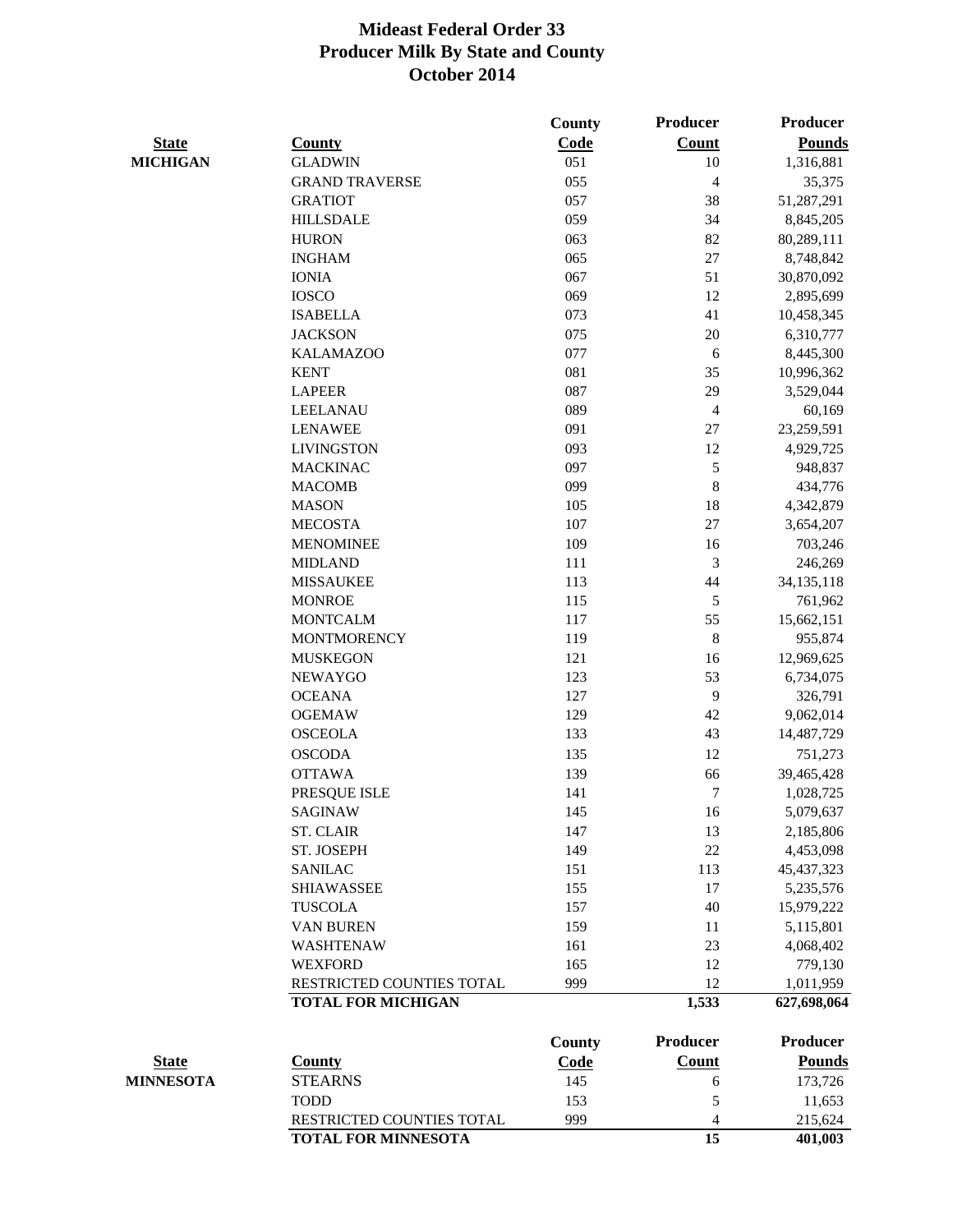|                  |                            | <b>County</b> | <b>Producer</b> | Producer      |
|------------------|----------------------------|---------------|-----------------|---------------|
| <b>State</b>     | <b>County</b>              | Code          | <b>Count</b>    | <b>Pounds</b> |
| <b>MICHIGAN</b>  | <b>GLADWIN</b>             | 051           | 10              | 1,316,881     |
|                  | <b>GRAND TRAVERSE</b>      | 055           | $\overline{4}$  | 35,375        |
|                  | <b>GRATIOT</b>             | 057           | 38              | 51,287,291    |
|                  | <b>HILLSDALE</b>           | 059           | 34              | 8,845,205     |
|                  | <b>HURON</b>               | 063           | 82              | 80,289,111    |
|                  | <b>INGHAM</b>              | 065           | 27              | 8,748,842     |
|                  | <b>IONIA</b>               | 067           | 51              | 30,870,092    |
|                  | <b>IOSCO</b>               | 069           | 12              | 2,895,699     |
|                  | <b>ISABELLA</b>            | 073           | 41              | 10,458,345    |
|                  | <b>JACKSON</b>             | 075           | 20              | 6,310,777     |
|                  | <b>KALAMAZOO</b>           | 077           | 6               | 8,445,300     |
|                  | <b>KENT</b>                | 081           | 35              | 10,996,362    |
|                  | <b>LAPEER</b>              | 087           | 29              | 3,529,044     |
|                  | <b>LEELANAU</b>            | 089           | $\overline{4}$  | 60,169        |
|                  | <b>LENAWEE</b>             | 091           | 27              | 23,259,591    |
|                  | <b>LIVINGSTON</b>          | 093           | 12              | 4,929,725     |
|                  | <b>MACKINAC</b>            | 097           | $\mathfrak{S}$  | 948,837       |
|                  | <b>MACOMB</b>              | 099           | 8               | 434,776       |
|                  | <b>MASON</b>               | 105           | 18              | 4,342,879     |
|                  | <b>MECOSTA</b>             | 107           | 27              | 3,654,207     |
|                  | <b>MENOMINEE</b>           | 109           | 16              | 703,246       |
|                  | <b>MIDLAND</b>             | 111           | 3               | 246,269       |
|                  | <b>MISSAUKEE</b>           | 113           | 44              | 34, 135, 118  |
|                  | <b>MONROE</b>              | 115           | 5               | 761,962       |
|                  | <b>MONTCALM</b>            | 117           | 55              | 15,662,151    |
|                  | <b>MONTMORENCY</b>         | 119           | 8               | 955,874       |
|                  | <b>MUSKEGON</b>            | 121           | 16              | 12,969,625    |
|                  | <b>NEWAYGO</b>             | 123           | 53              | 6,734,075     |
|                  | <b>OCEANA</b>              | 127           | 9               | 326,791       |
|                  | <b>OGEMAW</b>              | 129           | 42              | 9,062,014     |
|                  | <b>OSCEOLA</b>             | 133           | 43              | 14,487,729    |
|                  | <b>OSCODA</b>              | 135           | 12              | 751,273       |
|                  | <b>OTTAWA</b>              | 139           | 66              | 39,465,428    |
|                  | PRESQUE ISLE               | 141           | $\tau$          | 1,028,725     |
|                  | <b>SAGINAW</b>             | 145           | 16              | 5,079,637     |
|                  | <b>ST. CLAIR</b>           | 147           | 13              | 2,185,806     |
|                  | ST. JOSEPH                 | 149           | 22              | 4,453,098     |
|                  | <b>SANILAC</b>             | 151           | 113             | 45, 437, 323  |
|                  | <b>SHIAWASSEE</b>          | 155           | 17              | 5,235,576     |
|                  | <b>TUSCOLA</b>             | 157           | 40              | 15,979,222    |
|                  | <b>VAN BUREN</b>           | 159           | 11              | 5,115,801     |
|                  | <b>WASHTENAW</b>           | 161           | 23              | 4,068,402     |
|                  | <b>WEXFORD</b>             | 165           | 12              | 779,130       |
|                  | RESTRICTED COUNTIES TOTAL  | 999           | 12              | 1,011,959     |
|                  | <b>TOTAL FOR MICHIGAN</b>  |               | 1,533           | 627,698,064   |
|                  |                            | <b>County</b> | <b>Producer</b> | Producer      |
| <b>State</b>     | <b>County</b>              | <b>Code</b>   | Count           | <b>Pounds</b> |
| <b>MINNESOTA</b> | <b>STEARNS</b>             | 145           | 6               | 173,726       |
|                  | <b>TODD</b>                | 153           | 5               | 11,653        |
|                  | RESTRICTED COUNTIES TOTAL  | 999           | $\overline{4}$  | 215,624       |
|                  | <b>TOTAL FOR MINNESOTA</b> |               | 15              | 401,003       |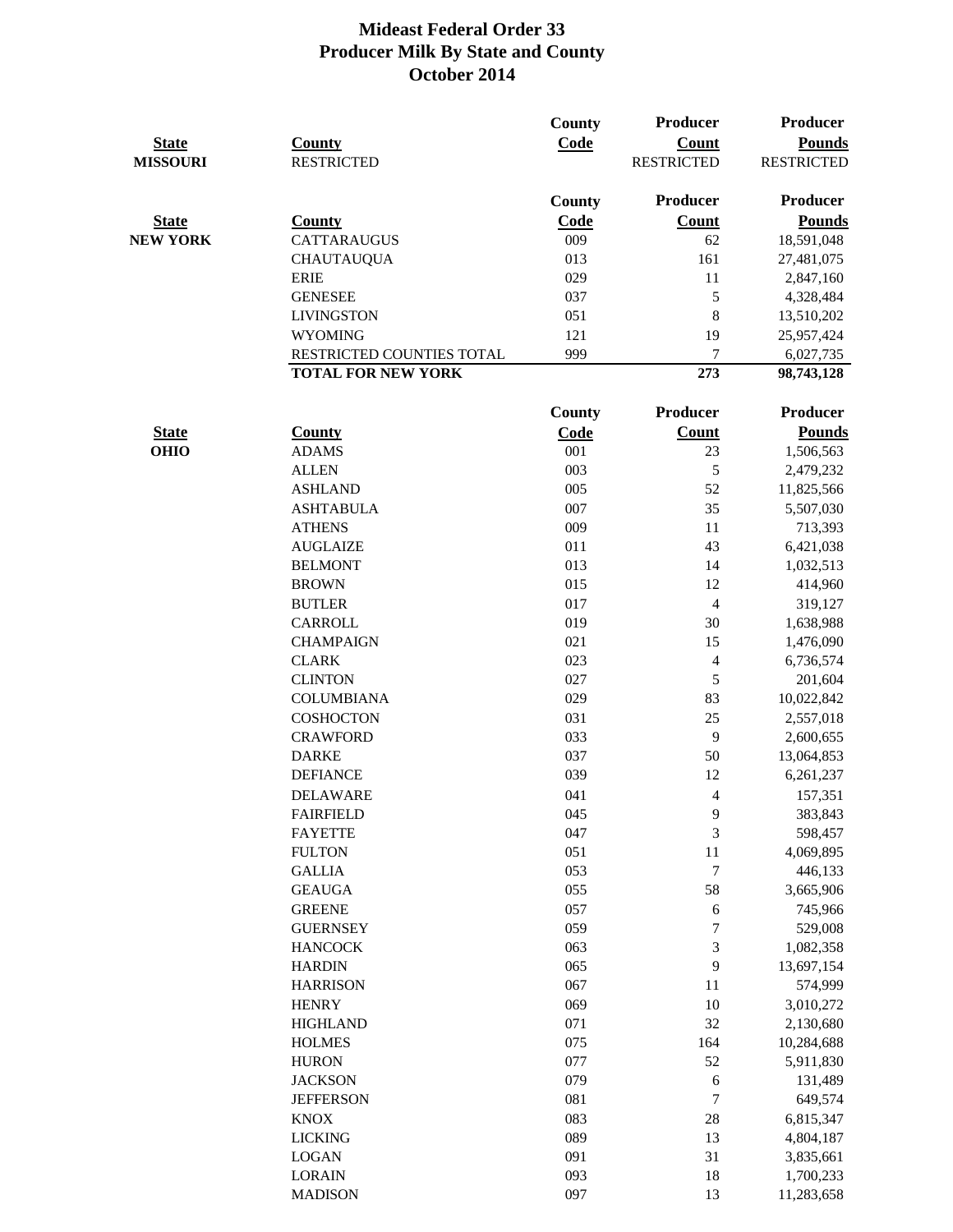| <b>State</b><br><b>MISSOURI</b> | <b>County</b><br><b>RESTRICTED</b> | <b>County</b><br>Code | <b>Producer</b><br><b>Count</b><br><b>RESTRICTED</b> | <b>Producer</b><br><b>Pounds</b><br><b>RESTRICTED</b> |
|---------------------------------|------------------------------------|-----------------------|------------------------------------------------------|-------------------------------------------------------|
|                                 |                                    | <b>County</b>         | <b>Producer</b>                                      | Producer                                              |
| <b>State</b>                    | <b>County</b>                      | <b>Code</b>           | <b>Count</b>                                         | <b>Pounds</b>                                         |
| <b>NEW YORK</b>                 | <b>CATTARAUGUS</b>                 | 009                   | 62                                                   | 18,591,048                                            |
|                                 | <b>CHAUTAUQUA</b>                  | 013                   | 161                                                  | 27,481,075                                            |
|                                 | <b>ERIE</b>                        | 029                   | 11                                                   | 2,847,160                                             |
|                                 | <b>GENESEE</b>                     | 037                   | 5                                                    | 4,328,484                                             |
|                                 | <b>LIVINGSTON</b>                  | 051                   | $\,8\,$                                              | 13,510,202                                            |
|                                 | <b>WYOMING</b>                     | 121                   | 19                                                   | 25,957,424                                            |
|                                 | RESTRICTED COUNTIES TOTAL          | 999                   | $\tau$                                               | 6,027,735                                             |
|                                 | <b>TOTAL FOR NEW YORK</b>          |                       | 273                                                  | 98,743,128                                            |
|                                 |                                    | <b>County</b>         | <b>Producer</b>                                      | Producer                                              |
| <b>State</b>                    | <b>County</b>                      | Code                  | <b>Count</b>                                         | <b>Pounds</b>                                         |
| <b>OHIO</b>                     | <b>ADAMS</b>                       | 001                   | 23                                                   | 1,506,563                                             |
|                                 | <b>ALLEN</b>                       | 003                   | 5                                                    | 2,479,232                                             |
|                                 | <b>ASHLAND</b>                     | 005                   | 52                                                   | 11,825,566                                            |
|                                 | <b>ASHTABULA</b>                   | 007                   | 35                                                   | 5,507,030                                             |
|                                 | <b>ATHENS</b>                      | 009                   | 11                                                   | 713,393                                               |
|                                 | <b>AUGLAIZE</b>                    | 011                   | 43                                                   | 6,421,038                                             |
|                                 | <b>BELMONT</b>                     | 013                   | 14                                                   | 1,032,513                                             |
|                                 | <b>BROWN</b>                       | 015                   | 12                                                   | 414,960                                               |
|                                 | <b>BUTLER</b>                      | 017                   | $\overline{4}$                                       | 319,127                                               |
|                                 | <b>CARROLL</b>                     | 019                   | 30                                                   | 1,638,988                                             |
|                                 | <b>CHAMPAIGN</b>                   | 021                   | 15                                                   | 1,476,090                                             |
|                                 | <b>CLARK</b>                       | 023                   | $\overline{4}$                                       | 6,736,574                                             |
|                                 | <b>CLINTON</b>                     | 027                   | $\mathfrak{S}$                                       | 201,604                                               |
|                                 | <b>COLUMBIANA</b>                  | 029                   | 83                                                   | 10,022,842                                            |
|                                 | <b>COSHOCTON</b>                   | 031                   | 25                                                   | 2,557,018                                             |
|                                 | <b>CRAWFORD</b>                    | 033                   | 9                                                    | 2,600,655                                             |
|                                 | <b>DARKE</b>                       | 037                   | 50                                                   | 13,064,853                                            |
|                                 | <b>DEFIANCE</b>                    | 039                   | 12                                                   | 6,261,237                                             |
|                                 | <b>DELAWARE</b>                    | 041                   | 4                                                    | 157,351                                               |
|                                 | <b>FAIRFIELD</b>                   | 045                   | 9                                                    | 383,843                                               |
|                                 | <b>FAYETTE</b>                     | 047                   | 3                                                    | 598,457                                               |
|                                 | <b>FULTON</b>                      | 051                   | 11                                                   | 4,069,895                                             |
|                                 | <b>GALLIA</b>                      | 053                   | $\boldsymbol{7}$                                     | 446,133                                               |
|                                 | <b>GEAUGA</b>                      | 055                   | 58                                                   | 3,665,906                                             |
|                                 | <b>GREENE</b>                      | 057                   | 6                                                    | 745,966                                               |
|                                 | <b>GUERNSEY</b>                    | 059                   | $\boldsymbol{7}$                                     | 529,008                                               |
|                                 | <b>HANCOCK</b>                     | 063                   | 3                                                    | 1,082,358                                             |
|                                 | <b>HARDIN</b>                      | 065                   | 9                                                    | 13,697,154                                            |
|                                 | <b>HARRISON</b>                    | 067                   | 11                                                   | 574,999                                               |
|                                 | <b>HENRY</b>                       | 069                   | 10                                                   | 3,010,272                                             |
|                                 | <b>HIGHLAND</b>                    | 071                   | 32                                                   | 2,130,680                                             |
|                                 | <b>HOLMES</b>                      | 075                   | 164                                                  | 10,284,688                                            |
|                                 | <b>HURON</b>                       | 077                   | 52                                                   | 5,911,830                                             |
|                                 | <b>JACKSON</b>                     | 079                   | 6                                                    | 131,489                                               |
|                                 | <b>JEFFERSON</b>                   | 081                   | $\boldsymbol{7}$                                     | 649,574                                               |
|                                 | <b>KNOX</b>                        | 083                   | 28                                                   | 6,815,347                                             |
|                                 | <b>LICKING</b>                     | 089                   | 13                                                   | 4,804,187                                             |
|                                 | <b>LOGAN</b>                       | 091                   | 31                                                   | 3,835,661                                             |
|                                 | <b>LORAIN</b>                      | 093                   | 18                                                   | 1,700,233                                             |
|                                 | <b>MADISON</b>                     | 097                   | 13                                                   | 11,283,658                                            |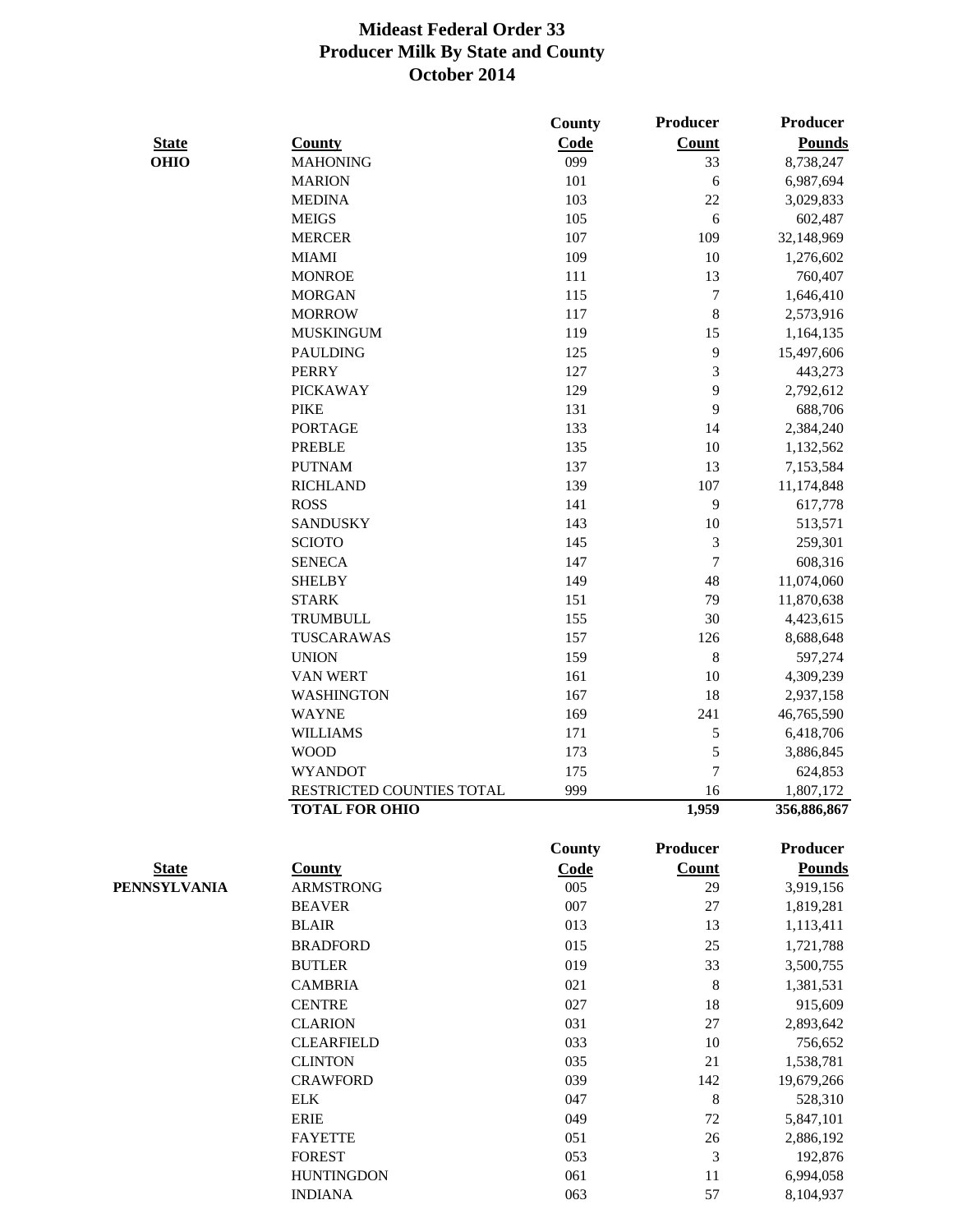|              |                           | County        | <b>Producer</b> | <b>Producer</b> |
|--------------|---------------------------|---------------|-----------------|-----------------|
| <b>State</b> | <b>County</b>             | Code          | <b>Count</b>    | <b>Pounds</b>   |
| <b>OHIO</b>  | <b>MAHONING</b>           | 099           | 33              | 8,738,247       |
|              | <b>MARION</b>             | 101           | $\sqrt{6}$      | 6,987,694       |
|              | <b>MEDINA</b>             | 103           | 22              | 3,029,833       |
|              | <b>MEIGS</b>              | 105           | 6               | 602,487         |
|              | <b>MERCER</b>             | 107           | 109             | 32,148,969      |
|              | <b>MIAMI</b>              | 109           | 10              | 1,276,602       |
|              | <b>MONROE</b>             | 111           | 13              | 760,407         |
|              | <b>MORGAN</b>             | 115           | $\tau$          | 1,646,410       |
|              | <b>MORROW</b>             | 117           | $8\,$           | 2,573,916       |
|              | <b>MUSKINGUM</b>          | 119           | 15              | 1,164,135       |
|              | <b>PAULDING</b>           | 125           | 9               | 15,497,606      |
|              | <b>PERRY</b>              | 127           | 3               | 443,273         |
|              | <b>PICKAWAY</b>           | 129           | 9               | 2,792,612       |
|              | <b>PIKE</b>               | 131           | 9               | 688,706         |
|              | <b>PORTAGE</b>            | 133           | 14              | 2,384,240       |
|              | <b>PREBLE</b>             | 135           | 10              | 1,132,562       |
|              | <b>PUTNAM</b>             | 137           | 13              | 7,153,584       |
|              | <b>RICHLAND</b>           | 139           | 107             | 11,174,848      |
|              | <b>ROSS</b>               | 141           | 9               | 617,778         |
|              | <b>SANDUSKY</b>           | 143           | 10              | 513,571         |
|              | <b>SCIOTO</b>             | 145           | 3               | 259,301         |
|              | <b>SENECA</b>             | 147           | $\overline{7}$  | 608,316         |
|              | <b>SHELBY</b>             | 149           | 48              | 11,074,060      |
|              | <b>STARK</b>              | 151           | 79              | 11,870,638      |
|              | <b>TRUMBULL</b>           | 155           | 30              | 4,423,615       |
|              | TUSCARAWAS                | 157           | 126             | 8,688,648       |
|              | <b>UNION</b>              | 159           | 8               | 597,274         |
|              | <b>VAN WERT</b>           | 161           | 10              | 4,309,239       |
|              | <b>WASHINGTON</b>         | 167           | 18              | 2,937,158       |
|              | <b>WAYNE</b>              | 169           | 241             | 46,765,590      |
|              | <b>WILLIAMS</b>           | 171           | 5               | 6,418,706       |
|              | <b>WOOD</b>               | 173           | 5               | 3,886,845       |
|              | <b>WYANDOT</b>            | 175           | $\tau$          | 624,853         |
|              | RESTRICTED COUNTIES TOTAL | 999           | 16              | 1,807,172       |
|              | <b>TOTAL FOR OHIO</b>     |               | 1,959           | 356,886,867     |
|              |                           | <b>County</b> | Producer        | <b>Producer</b> |
| <b>State</b> | <b>County</b>             | <b>Code</b>   | <b>Count</b>    | <b>Pounds</b>   |
| PENNSYLVANIA | <b>ARMSTRONG</b>          | 005           | 29              | 3,919,156       |
|              | <b>BEAVER</b>             | 007           | 27              | 1,819,281       |
|              | <b>BLAIR</b>              | 013           | 13              | 1,113,411       |
|              | <b>BRADFORD</b>           | 015           | 25              | 1,721,788       |
|              | <b>BUTLER</b>             | 019           | 33              | 3,500,755       |
|              | <b>CAMBRIA</b>            | 021           | 8               | 1,381,531       |
|              | <b>CENTRE</b>             | 027           | 18              | 915,609         |
|              | <b>CLARION</b>            | 031           | $27\,$          | 2,893,642       |
|              | <b>CLEARFIELD</b>         | 033           | 10              | 756,652         |
|              | <b>CLINTON</b>            | 035           | 21              | 1,538,781       |
|              | <b>CRAWFORD</b>           | 039           | 142             | 19,679,266      |
|              | <b>ELK</b>                | 047           | 8               | 528,310         |
|              | <b>ERIE</b>               | 049           | 72              | 5,847,101       |
|              | <b>FAYETTE</b>            | 051           | 26              | 2,886,192       |
|              | <b>FOREST</b>             | 053           | 3               | 192,876         |
|              | <b>HUNTINGDON</b>         | 061           | 11              | 6,994,058       |
|              | <b>INDIANA</b>            | 063           | 57              | 8,104,937       |